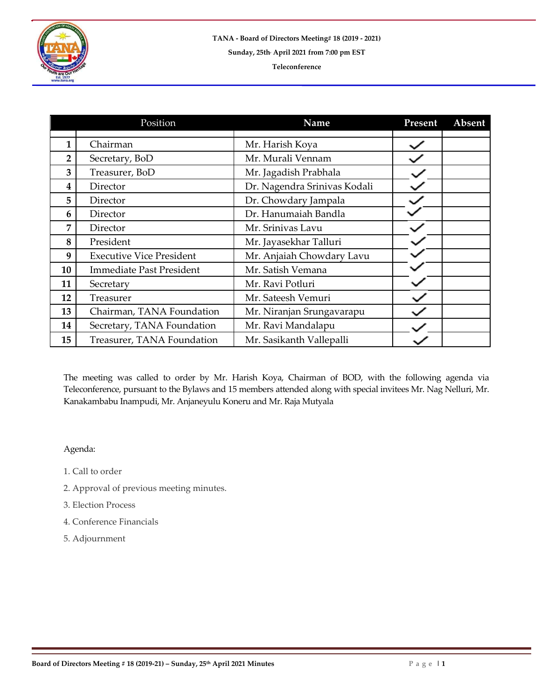

|                | Position                        | Name                         | Present | Absent |
|----------------|---------------------------------|------------------------------|---------|--------|
|                |                                 |                              |         |        |
| 1              | Chairman                        | Mr. Harish Koya              |         |        |
| $\overline{2}$ | Secretary, BoD                  | Mr. Murali Vennam            |         |        |
| 3              | Treasurer, BoD                  | Mr. Jagadish Prabhala        |         |        |
| 4              | Director                        | Dr. Nagendra Srinivas Kodali |         |        |
| 5              | Director                        | Dr. Chowdary Jampala         |         |        |
| 6              | Director                        | Dr. Hanumaiah Bandla         |         |        |
| 7              | Director                        | Mr. Srinivas Lavu            |         |        |
| 8              | President                       | Mr. Jayasekhar Talluri       |         |        |
| 9              | <b>Executive Vice President</b> | Mr. Anjaiah Chowdary Lavu    |         |        |
| 10             | <b>Immediate Past President</b> | Mr. Satish Vemana            |         |        |
| 11             | Secretary                       | Mr. Ravi Potluri             |         |        |
| 12             | Treasurer                       | Mr. Sateesh Vemuri           |         |        |
| 13             | Chairman, TANA Foundation       | Mr. Niranjan Srungavarapu    |         |        |
| 14             | Secretary, TANA Foundation      | Mr. Ravi Mandalapu           |         |        |
| 15             | Treasurer, TANA Foundation      | Mr. Sasikanth Vallepalli     |         |        |

The meeting was called to order by Mr. Harish Koya, Chairman of BOD, with the following agenda via Teleconference, pursuant to the Bylaws and 15 members attended along with special invitees Mr. Nag Nelluri, Mr. Kanakambabu Inampudi, Mr. Anjaneyulu Koneru and Mr. Raja Mutyala

## Agenda:

- 1. Call to order
- 2. Approval of previous meeting minutes.
- 3. Election Process
- 4. Conference Financials
- 5. Adjournment